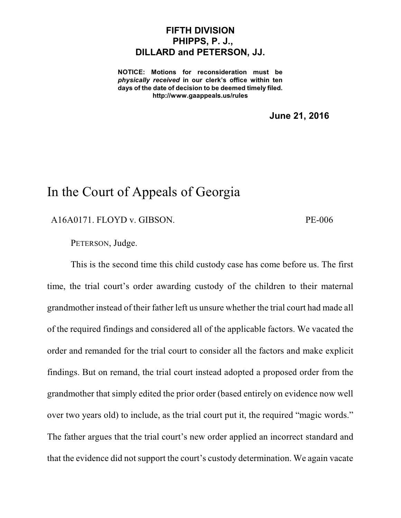## **FIFTH DIVISION PHIPPS, P. J., DILLARD and PETERSON, JJ.**

**NOTICE: Motions for reconsideration must be** *physically received* **in our clerk's office within ten days of the date of decision to be deemed timely filed. http://www.gaappeals.us/rules**

**June 21, 2016**

## In the Court of Appeals of Georgia

A16A0171. FLOYD v. GIBSON. PE-006

PETERSON, Judge.

This is the second time this child custody case has come before us. The first time, the trial court's order awarding custody of the children to their maternal grandmother instead of their father left us unsure whether the trial court had made all of the required findings and considered all of the applicable factors. We vacated the order and remanded for the trial court to consider all the factors and make explicit findings. But on remand, the trial court instead adopted a proposed order from the grandmother that simply edited the prior order (based entirely on evidence now well over two years old) to include, as the trial court put it, the required "magic words." The father argues that the trial court's new order applied an incorrect standard and that the evidence did not support the court's custody determination. We again vacate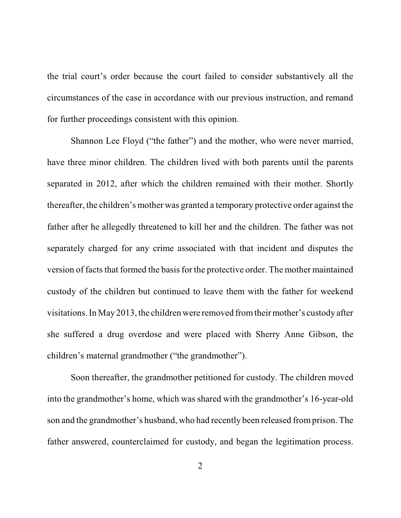the trial court's order because the court failed to consider substantively all the circumstances of the case in accordance with our previous instruction, and remand for further proceedings consistent with this opinion.

Shannon Lee Floyd ("the father") and the mother, who were never married, have three minor children. The children lived with both parents until the parents separated in 2012, after which the children remained with their mother. Shortly thereafter, the children's mother was granted a temporary protective order against the father after he allegedly threatened to kill her and the children. The father was not separately charged for any crime associated with that incident and disputes the version of facts that formed the basis for the protective order. The mother maintained custody of the children but continued to leave them with the father for weekend visitations. In May 2013, the children were removed fromtheir mother's custody after she suffered a drug overdose and were placed with Sherry Anne Gibson, the children's maternal grandmother ("the grandmother").

Soon thereafter, the grandmother petitioned for custody. The children moved into the grandmother's home, which was shared with the grandmother's 16-year-old son and the grandmother's husband, who had recently been released fromprison. The father answered, counterclaimed for custody, and began the legitimation process.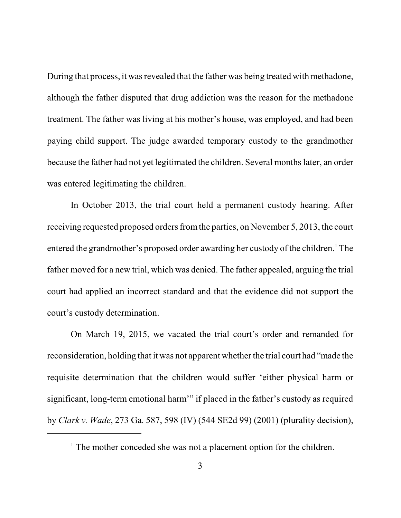During that process, it was revealed that the father was being treated with methadone, although the father disputed that drug addiction was the reason for the methadone treatment. The father was living at his mother's house, was employed, and had been paying child support. The judge awarded temporary custody to the grandmother because the father had not yet legitimated the children. Several months later, an order was entered legitimating the children.

In October 2013, the trial court held a permanent custody hearing. After receiving requested proposed orders from the parties, on November 5, 2013, the court entered the grandmother's proposed order awarding her custody of the children. <sup>1</sup> The father moved for a new trial, which was denied. The father appealed, arguing the trial court had applied an incorrect standard and that the evidence did not support the court's custody determination.

On March 19, 2015, we vacated the trial court's order and remanded for reconsideration, holding that it was not apparent whether the trial court had "made the requisite determination that the children would suffer 'either physical harm or significant, long-term emotional harm'" if placed in the father's custody as required by *Clark v. Wade*, 273 Ga. 587, 598 (IV) (544 SE2d 99) (2001) (plurality decision),

<sup>&</sup>lt;sup>1</sup> The mother conceded she was not a placement option for the children.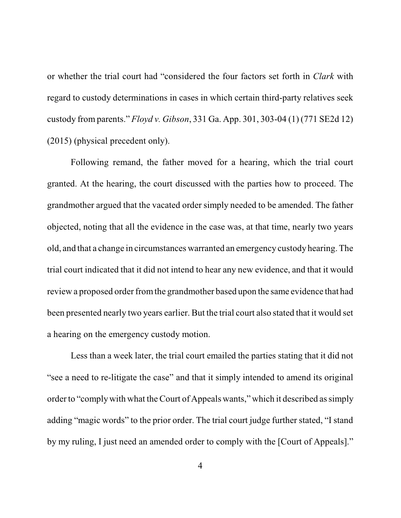or whether the trial court had "considered the four factors set forth in *Clark* with regard to custody determinations in cases in which certain third-party relatives seek custody from parents." *Floyd v. Gibson*, 331 Ga. App. 301, 303-04 (1) (771 SE2d 12) (2015) (physical precedent only).

Following remand, the father moved for a hearing, which the trial court granted. At the hearing, the court discussed with the parties how to proceed. The grandmother argued that the vacated order simply needed to be amended. The father objected, noting that all the evidence in the case was, at that time, nearly two years old, and that a change in circumstances warranted an emergency custody hearing. The trial court indicated that it did not intend to hear any new evidence, and that it would review a proposed order fromthe grandmother based upon the same evidence that had been presented nearly two years earlier. But the trial court also stated that it would set a hearing on the emergency custody motion.

Less than a week later, the trial court emailed the parties stating that it did not "see a need to re-litigate the case" and that it simply intended to amend its original order to "complywith what the Court of Appeals wants," which it described assimply adding "magic words" to the prior order. The trial court judge further stated, "I stand by my ruling, I just need an amended order to comply with the [Court of Appeals]."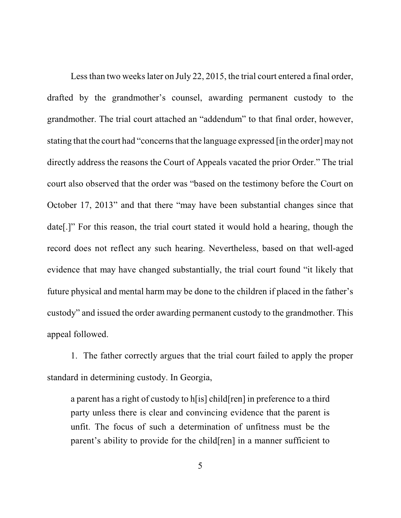Less than two weeks later on July 22, 2015, the trial court entered a final order, drafted by the grandmother's counsel, awarding permanent custody to the grandmother. The trial court attached an "addendum" to that final order, however, stating that the court had "concerns that the language expressed [in the order] may not directly address the reasons the Court of Appeals vacated the prior Order." The trial court also observed that the order was "based on the testimony before the Court on October 17, 2013" and that there "may have been substantial changes since that date[.]" For this reason, the trial court stated it would hold a hearing, though the record does not reflect any such hearing. Nevertheless, based on that well-aged evidence that may have changed substantially, the trial court found "it likely that future physical and mental harm may be done to the children if placed in the father's custody" and issued the order awarding permanent custody to the grandmother. This appeal followed.

1. The father correctly argues that the trial court failed to apply the proper standard in determining custody. In Georgia,

a parent has a right of custody to h[is] child[ren] in preference to a third party unless there is clear and convincing evidence that the parent is unfit. The focus of such a determination of unfitness must be the parent's ability to provide for the child[ren] in a manner sufficient to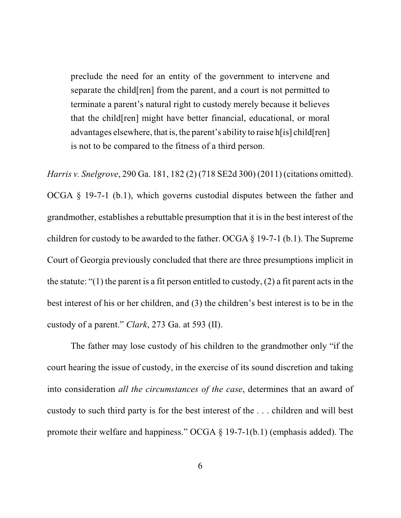preclude the need for an entity of the government to intervene and separate the child[ren] from the parent, and a court is not permitted to terminate a parent's natural right to custody merely because it believes that the child[ren] might have better financial, educational, or moral advantages elsewhere, that is, the parent's ability to raise h[is] child[ren] is not to be compared to the fitness of a third person.

*Harris v. Snelgrove*, 290 Ga. 181, 182 (2) (718 SE2d 300) (2011) (citations omitted).

OCGA § 19-7-1 (b.1), which governs custodial disputes between the father and grandmother, establishes a rebuttable presumption that it is in the best interest of the children for custody to be awarded to the father. OCGA § 19-7-1 (b.1). The Supreme Court of Georgia previously concluded that there are three presumptions implicit in the statute: "(1) the parent is a fit person entitled to custody, (2) a fit parent acts in the best interest of his or her children, and (3) the children's best interest is to be in the custody of a parent." *Clark*, 273 Ga. at 593 (II).

The father may lose custody of his children to the grandmother only "if the court hearing the issue of custody, in the exercise of its sound discretion and taking into consideration *all the circumstances of the case*, determines that an award of custody to such third party is for the best interest of the . . . children and will best promote their welfare and happiness." OCGA § 19-7-1(b.1) (emphasis added). The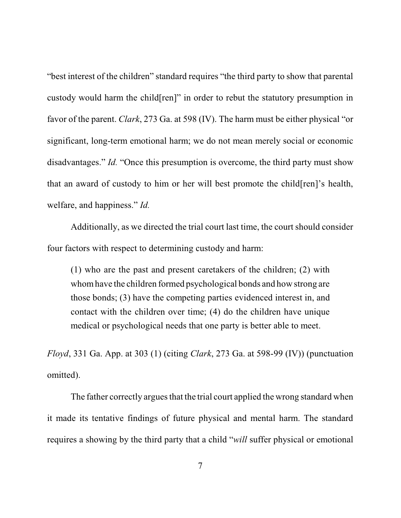"best interest of the children" standard requires "the third party to show that parental custody would harm the child[ren]" in order to rebut the statutory presumption in favor of the parent. *Clark*, 273 Ga. at 598 (IV). The harm must be either physical "or significant, long-term emotional harm; we do not mean merely social or economic disadvantages." *Id.* "Once this presumption is overcome, the third party must show that an award of custody to him or her will best promote the child[ren]'s health, welfare, and happiness." *Id.* 

Additionally, as we directed the trial court last time, the court should consider four factors with respect to determining custody and harm:

(1) who are the past and present caretakers of the children; (2) with whomhave the children formed psychological bonds and how strong are those bonds; (3) have the competing parties evidenced interest in, and contact with the children over time; (4) do the children have unique medical or psychological needs that one party is better able to meet.

*Floyd*, 331 Ga. App. at 303 (1) (citing *Clark*, 273 Ga. at 598-99 (IV)) (punctuation omitted).

The father correctly argues that the trial court applied the wrong standard when it made its tentative findings of future physical and mental harm. The standard requires a showing by the third party that a child "*will* suffer physical or emotional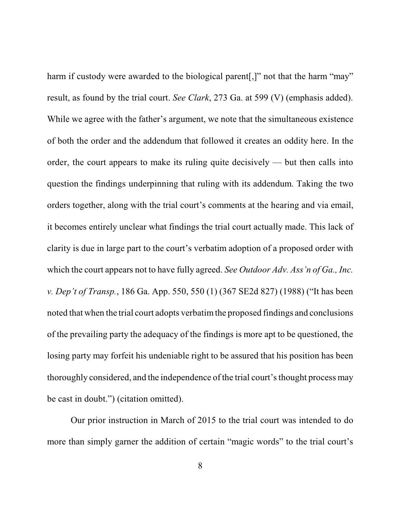harm if custody were awarded to the biological parent. "not that the harm "may" result, as found by the trial court. *See Clark*, 273 Ga. at 599 (V) (emphasis added). While we agree with the father's argument, we note that the simultaneous existence of both the order and the addendum that followed it creates an oddity here. In the order, the court appears to make its ruling quite decisively — but then calls into question the findings underpinning that ruling with its addendum. Taking the two orders together, along with the trial court's comments at the hearing and via email, it becomes entirely unclear what findings the trial court actually made. This lack of clarity is due in large part to the court's verbatim adoption of a proposed order with which the court appears not to have fully agreed. *See Outdoor Adv. Ass'n of Ga., Inc. v. Dep't of Transp.*, 186 Ga. App. 550, 550 (1) (367 SE2d 827) (1988) ("It has been noted that when the trial court adopts verbatimthe proposed findings and conclusions of the prevailing party the adequacy of the findings is more apt to be questioned, the losing party may forfeit his undeniable right to be assured that his position has been thoroughly considered, and the independence of the trial court'sthought process may be cast in doubt.") (citation omitted).

Our prior instruction in March of 2015 to the trial court was intended to do more than simply garner the addition of certain "magic words" to the trial court's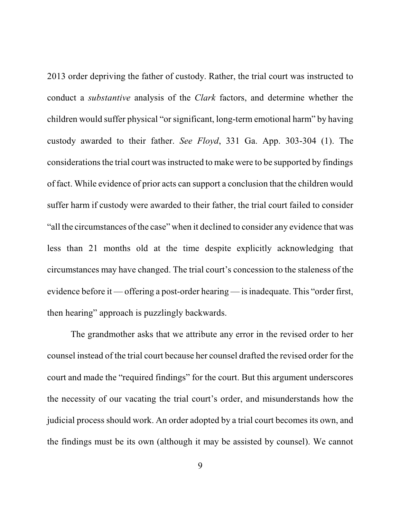2013 order depriving the father of custody. Rather, the trial court was instructed to conduct a *substantive* analysis of the *Clark* factors, and determine whether the children would suffer physical "or significant, long-term emotional harm" by having custody awarded to their father. *See Floyd*, 331 Ga. App. 303-304 (1). The considerations the trial court was instructed to make were to be supported by findings of fact. While evidence of prior acts can support a conclusion that the children would suffer harm if custody were awarded to their father, the trial court failed to consider "all the circumstances of the case" when it declined to consider any evidence that was less than 21 months old at the time despite explicitly acknowledging that circumstances may have changed. The trial court's concession to the staleness of the evidence before it — offering a post-order hearing — isinadequate. This "order first, then hearing" approach is puzzlingly backwards.

The grandmother asks that we attribute any error in the revised order to her counsel instead of the trial court because her counsel drafted the revised order for the court and made the "required findings" for the court. But this argument underscores the necessity of our vacating the trial court's order, and misunderstands how the judicial process should work. An order adopted by a trial court becomes its own, and the findings must be its own (although it may be assisted by counsel). We cannot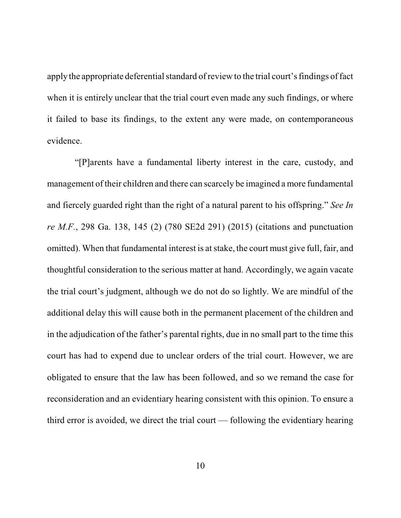apply the appropriate deferential standard of review to the trial court's findings of fact when it is entirely unclear that the trial court even made any such findings, or where it failed to base its findings, to the extent any were made, on contemporaneous evidence.

"[P]arents have a fundamental liberty interest in the care, custody, and management of their children and there can scarcely be imagined a more fundamental and fiercely guarded right than the right of a natural parent to his offspring." *See In re M.F.*, 298 Ga. 138, 145 (2) (780 SE2d 291) (2015) (citations and punctuation omitted). When that fundamental interest is atstake, the court must give full, fair, and thoughtful consideration to the serious matter at hand. Accordingly, we again vacate the trial court's judgment, although we do not do so lightly. We are mindful of the additional delay this will cause both in the permanent placement of the children and in the adjudication of the father's parental rights, due in no small part to the time this court has had to expend due to unclear orders of the trial court. However, we are obligated to ensure that the law has been followed, and so we remand the case for reconsideration and an evidentiary hearing consistent with this opinion. To ensure a third error is avoided, we direct the trial court — following the evidentiary hearing